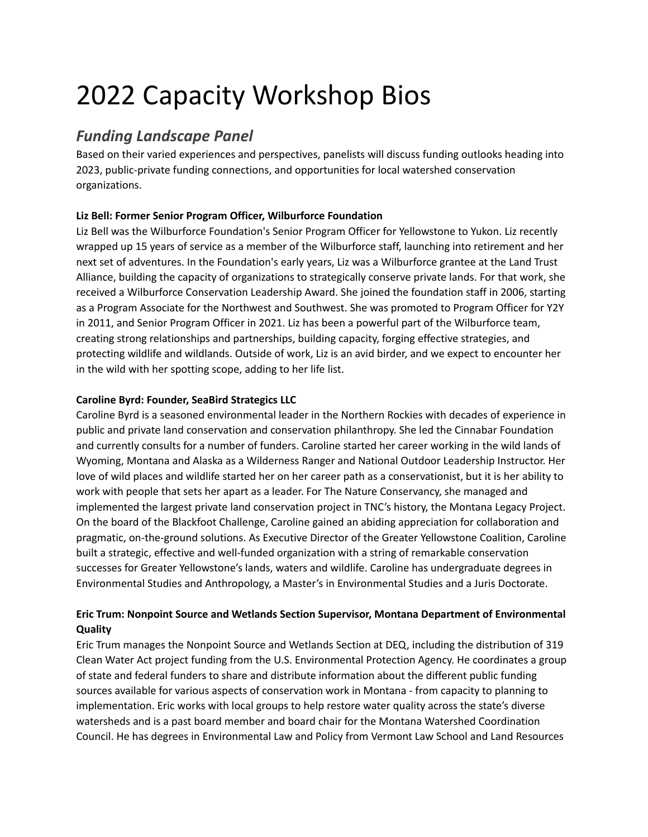# 2022 Capacity Workshop Bios

# *Funding Landscape Panel*

Based on their varied experiences and perspectives, panelists will discuss funding outlooks heading into 2023, public-private funding connections, and opportunities for local watershed conservation organizations.

## **Liz Bell: Former Senior Program Officer, Wilburforce Foundation**

Liz Bell was the Wilburforce Foundation's Senior Program Officer for Yellowstone to Yukon. Liz recently wrapped up 15 years of service as a member of the Wilburforce staff, launching into retirement and her next set of adventures. In the Foundation's early years, Liz was a Wilburforce grantee at the Land Trust Alliance, building the capacity of organizations to strategically conserve private lands. For that work, she received a Wilburforce Conservation Leadership Award. She joined the foundation staff in 2006, starting as a Program Associate for the Northwest and Southwest. She was promoted to Program Officer for Y2Y in 2011, and Senior Program Officer in 2021. Liz has been a powerful part of the Wilburforce team, creating strong relationships and partnerships, building capacity, forging effective strategies, and protecting wildlife and wildlands. Outside of work, Liz is an avid birder, and we expect to encounter her in the wild with her spotting scope, adding to her life list.

## **Caroline Byrd: Founder, SeaBird Strategics LLC**

Caroline Byrd is a seasoned environmental leader in the Northern Rockies with decades of experience in public and private land conservation and conservation philanthropy. She led the Cinnabar Foundation and currently consults for a number of funders. Caroline started her career working in the wild lands of Wyoming, Montana and Alaska as a Wilderness Ranger and National Outdoor Leadership Instructor. Her love of wild places and wildlife started her on her career path as a conservationist, but it is her ability to work with people that sets her apart as a leader. For The Nature Conservancy, she managed and implemented the largest private land conservation project in TNC's history, the Montana Legacy Project. On the board of the Blackfoot Challenge, Caroline gained an abiding appreciation for collaboration and pragmatic, on-the-ground solutions. As Executive Director of the Greater Yellowstone Coalition, Caroline built a strategic, effective and well-funded organization with a string of remarkable conservation successes for Greater Yellowstone's lands, waters and wildlife. Caroline has undergraduate degrees in Environmental Studies and Anthropology, a Master's in Environmental Studies and a Juris Doctorate.

## **Eric Trum: Nonpoint Source and Wetlands Section Supervisor, Montana Department of Environmental Quality**

Eric Trum manages the Nonpoint Source and Wetlands Section at DEQ, including the distribution of 319 Clean Water Act project funding from the U.S. Environmental Protection Agency. He coordinates a group of state and federal funders to share and distribute information about the different public funding sources available for various aspects of conservation work in Montana - from capacity to planning to implementation. Eric works with local groups to help restore water quality across the state's diverse watersheds and is a past board member and board chair for the Montana Watershed Coordination Council. He has degrees in Environmental Law and Policy from Vermont Law School and Land Resources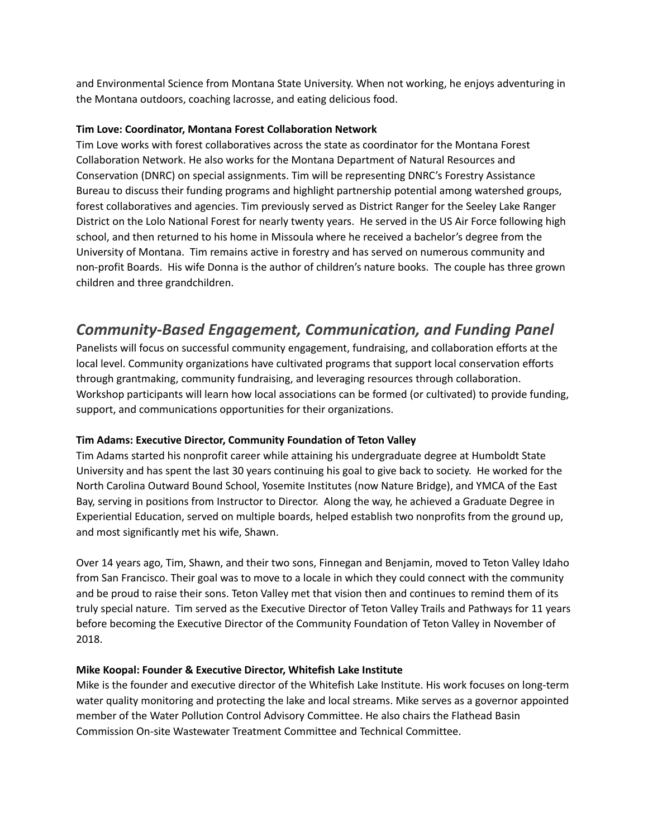and Environmental Science from Montana State University. When not working, he enjoys adventuring in the Montana outdoors, coaching lacrosse, and eating delicious food.

#### **Tim Love: Coordinator, Montana Forest Collaboration Network**

Tim Love works with forest collaboratives across the state as coordinator for the Montana Forest Collaboration Network. He also works for the Montana Department of Natural Resources and Conservation (DNRC) on special assignments. Tim will be representing DNRC's Forestry Assistance Bureau to discuss their funding programs and highlight partnership potential among watershed groups, forest collaboratives and agencies. Tim previously served as District Ranger for the Seeley Lake Ranger District on the Lolo National Forest for nearly twenty years. He served in the US Air Force following high school, and then returned to his home in Missoula where he received a bachelor's degree from the University of Montana. Tim remains active in forestry and has served on numerous community and non-profit Boards. His wife Donna is the author of children's nature books. The couple has three grown children and three grandchildren.

# *Community-Based Engagement, Communication, and Funding Panel*

Panelists will focus on successful community engagement, fundraising, and collaboration efforts at the local level. Community organizations have cultivated programs that support local conservation efforts through grantmaking, community fundraising, and leveraging resources through collaboration. Workshop participants will learn how local associations can be formed (or cultivated) to provide funding, support, and communications opportunities for their organizations.

### **Tim Adams: Executive Director, Community Foundation of Teton Valley**

Tim Adams started his nonprofit career while attaining his undergraduate degree at Humboldt State University and has spent the last 30 years continuing his goal to give back to society. He worked for the North Carolina Outward Bound School, Yosemite Institutes (now Nature Bridge), and YMCA of the East Bay, serving in positions from Instructor to Director. Along the way, he achieved a Graduate Degree in Experiential Education, served on multiple boards, helped establish two nonprofits from the ground up, and most significantly met his wife, Shawn.

Over 14 years ago, Tim, Shawn, and their two sons, Finnegan and Benjamin, moved to Teton Valley Idaho from San Francisco. Their goal was to move to a locale in which they could connect with the community and be proud to raise their sons. Teton Valley met that vision then and continues to remind them of its truly special nature. Tim served as the Executive Director of Teton Valley Trails and Pathways for 11 years before becoming the Executive Director of the Community Foundation of Teton Valley in November of 2018.

### **Mike Koopal: Founder & Executive Director, Whitefish Lake Institute**

Mike is the founder and executive director of the Whitefish Lake Institute. His work focuses on long-term water quality monitoring and protecting the lake and local streams. Mike serves as a governor appointed member of the Water Pollution Control Advisory Committee. He also chairs the Flathead Basin Commission On-site Wastewater Treatment Committee and Technical Committee.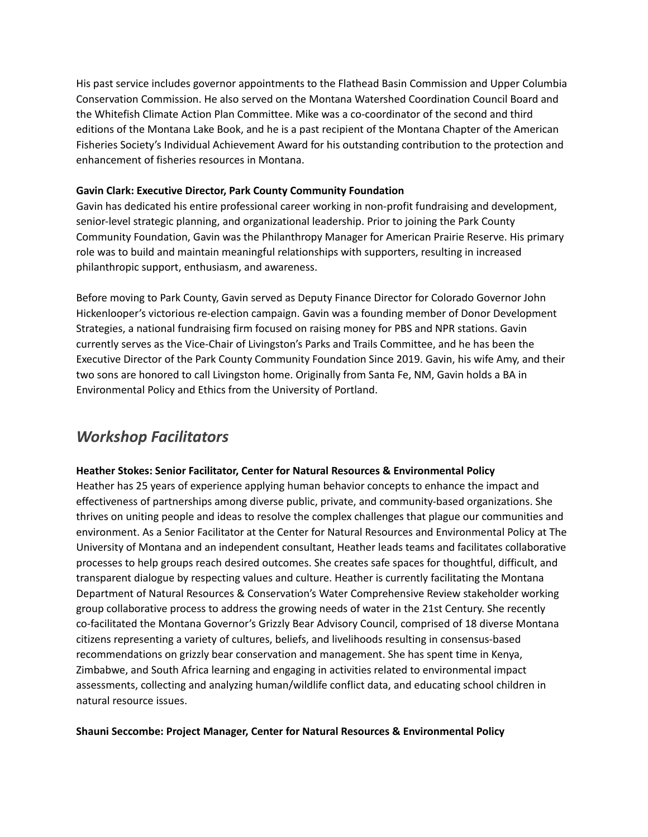His past service includes governor appointments to the Flathead Basin Commission and Upper Columbia Conservation Commission. He also served on the Montana Watershed Coordination Council Board and the Whitefish Climate Action Plan Committee. Mike was a co-coordinator of the second and third editions of the Montana Lake Book, and he is a past recipient of the Montana Chapter of the American Fisheries Society's Individual Achievement Award for his outstanding contribution to the protection and enhancement of fisheries resources in Montana.

#### **Gavin Clark: Executive Director, Park County Community Foundation**

Gavin has dedicated his entire professional career working in non-profit fundraising and development, senior-level strategic planning, and organizational leadership. Prior to joining the Park County Community Foundation, Gavin was the Philanthropy Manager for American Prairie Reserve. His primary role was to build and maintain meaningful relationships with supporters, resulting in increased philanthropic support, enthusiasm, and awareness.

Before moving to Park County, Gavin served as Deputy Finance Director for Colorado Governor John Hickenlooper's victorious re-election campaign. Gavin was a founding member of Donor Development Strategies, a national fundraising firm focused on raising money for PBS and NPR stations. Gavin currently serves as the Vice-Chair of Livingston's Parks and Trails Committee, and he has been the Executive Director of the Park County Community Foundation Since 2019. Gavin, his wife Amy, and their two sons are honored to call Livingston home. Originally from Santa Fe, NM, Gavin holds a BA in Environmental Policy and Ethics from the University of Portland.

# *Workshop Facilitators*

#### **Heather Stokes: Senior Facilitator, Center for Natural Resources & Environmental Policy**

Heather has 25 years of experience applying human behavior concepts to enhance the impact and effectiveness of partnerships among diverse public, private, and community-based organizations. She thrives on uniting people and ideas to resolve the complex challenges that plague our communities and environment. As a Senior Facilitator at the Center for Natural Resources and Environmental Policy at The University of Montana and an independent consultant, Heather leads teams and facilitates collaborative processes to help groups reach desired outcomes. She creates safe spaces for thoughtful, difficult, and transparent dialogue by respecting values and culture. Heather is currently facilitating the Montana Department of Natural Resources & Conservation's Water Comprehensive Review stakeholder working group collaborative process to address the growing needs of water in the 21st Century. She recently co-facilitated the Montana Governor's Grizzly Bear Advisory Council, comprised of 18 diverse Montana citizens representing a variety of cultures, beliefs, and livelihoods resulting in consensus-based recommendations on grizzly bear conservation and management. She has spent time in Kenya, Zimbabwe, and South Africa learning and engaging in activities related to environmental impact assessments, collecting and analyzing human/wildlife conflict data, and educating school children in natural resource issues.

#### **Shauni Seccombe: Project Manager, Center for Natural Resources & Environmental Policy**